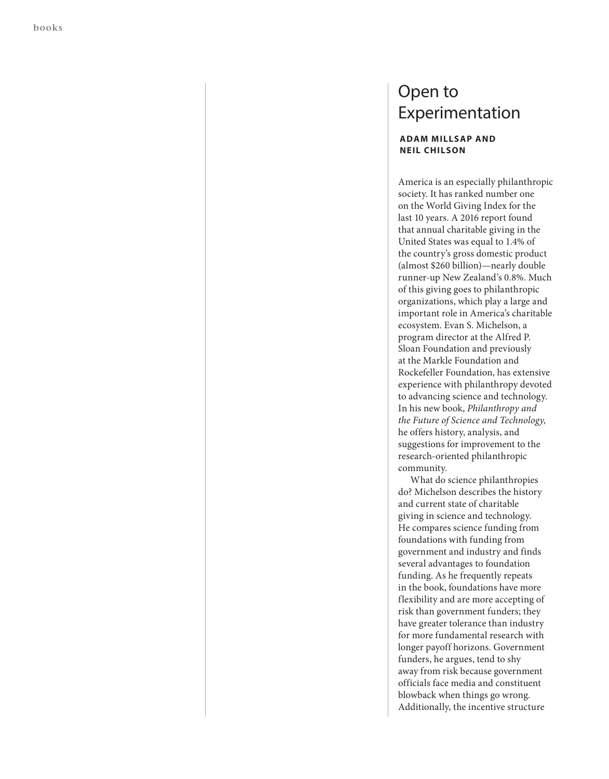## Open to Experimentation

## **ADAM MILLSAP AND NEIL CHILSON**

America is an especially philanthropic society. It has ranked number one on the World Giving Index for the last 10 years. A 2016 report found that annual charitable giving in the United States was equal to 1.4% of the country's gross domestic product (almost \$260 billion)—nearly double runner-up New Zealand's 0.8%. Much of this giving goes to philanthropic organizations, which play a large and important role in America's charitable ecosystem. Evan S. Michelson, a program director at the Alfred P. Sloan Foundation and previously at the Markle Foundation and Rockefeller Foundation, has extensive experience with philanthropy devoted to advancing science and technology. In his new book, *Philanthropy and the Future of Science and Technology,* he offers history, analysis, and suggestions for improvement to the research-oriented philanthropic community.

What do science philanthropies do? Michelson describes the history and current state of charitable giving in science and technology. He compares science funding from foundations with funding from government and industry and finds several advantages to foundation funding. As he frequently repeats in the book, foundations have more flexibility and are more accepting of risk than government funders; they have greater tolerance than industry for more fundamental research with longer payoff horizons. Government funders, he argues, tend to shy away from risk because government officials face media and constituent blowback when things go wrong. Additionally, the incentive structure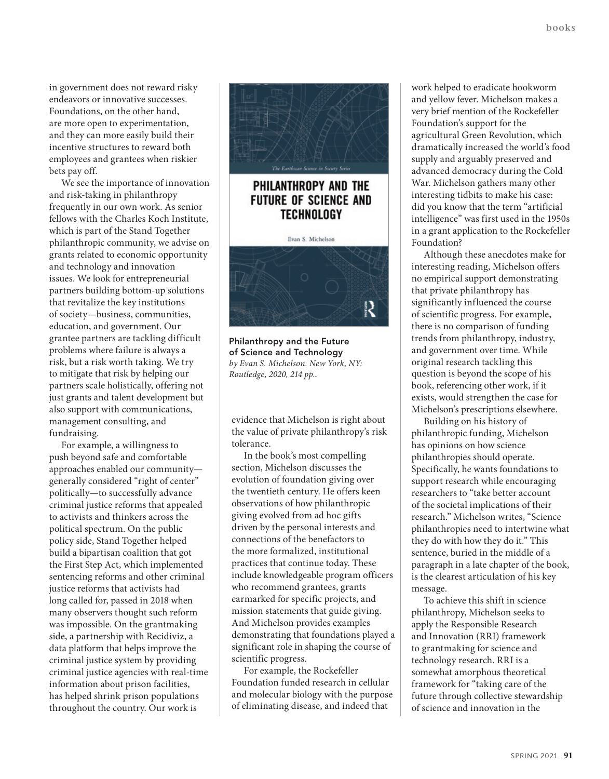in government does not reward risky endeavors or innovative successes. Foundations, on the other hand, are more open to experimentation, and they can more easily build their incentive structures to reward both employees and grantees when riskier bets pay off.

We see the importance of innovation and risk-taking in philanthropy frequently in our own work. As senior fellows with the Charles Koch Institute, which is part of the Stand Together philanthropic community, we advise on grants related to economic opportunity and technology and innovation issues. We look for entrepreneurial partners building bottom-up solutions that revitalize the key institutions of society—business, communities, education, and government. Our grantee partners are tackling difficult problems where failure is always a risk, but a risk worth taking. We try to mitigate that risk by helping our partners scale holistically, offering not just grants and talent development but also support with communications, management consulting, and fundraising.

For example, a willingness to push beyond safe and comfortable approaches enabled our community generally considered "right of center" politically—to successfully advance criminal justice reforms that appealed to activists and thinkers across the political spectrum. On the public policy side, Stand Together helped build a bipartisan coalition that got the First Step Act, which implemented sentencing reforms and other criminal justice reforms that activists had long called for, passed in 2018 when many observers thought such reform was impossible. On the grantmaking side, a partnership with Recidiviz, a data platform that helps improve the criminal justice system by providing criminal justice agencies with real-time information about prison facilities, has helped shrink prison populations throughout the country. Our work is



## PHILANTHROPY AND THE **FUTURE OF SCIENCE AND TECHNOLOGY**



**Philanthropy and the Future of Science and Technology** *by Evan S. Michelson. New York, NY: Routledge, 2020, 214 pp..*

evidence that Michelson is right about the value of private philanthropy's risk tolerance.

In the book's most compelling section, Michelson discusses the evolution of foundation giving over the twentieth century. He offers keen observations of how philanthropic giving evolved from ad hoc gifts driven by the personal interests and connections of the benefactors to the more formalized, institutional practices that continue today. These include knowledgeable program officers who recommend grantees, grants earmarked for specific projects, and mission statements that guide giving. And Michelson provides examples demonstrating that foundations played a significant role in shaping the course of scientific progress.

For example, the Rockefeller Foundation funded research in cellular and molecular biology with the purpose of eliminating disease, and indeed that

work helped to eradicate hookworm and yellow fever. Michelson makes a very brief mention of the Rockefeller Foundation's support for the agricultural Green Revolution, which dramatically increased the world's food supply and arguably preserved and advanced democracy during the Cold War. Michelson gathers many other interesting tidbits to make his case: did you know that the term "artificial intelligence" was first used in the 1950s in a grant application to the Rockefeller Foundation?

Although these anecdotes make for interesting reading, Michelson offers no empirical support demonstrating that private philanthropy has significantly influenced the course of scientific progress. For example, there is no comparison of funding trends from philanthropy, industry, and government over time. While original research tackling this question is beyond the scope of his book, referencing other work, if it exists, would strengthen the case for Michelson's prescriptions elsewhere.

Building on his history of philanthropic funding, Michelson has opinions on how science philanthropies should operate. Specifically, he wants foundations to support research while encouraging researchers to "take better account of the societal implications of their research." Michelson writes, "Science philanthropies need to intertwine what they do with how they do it." This sentence, buried in the middle of a paragraph in a late chapter of the book, is the clearest articulation of his key message.

To achieve this shift in science philanthropy, Michelson seeks to apply the Responsible Research and Innovation (RRI) framework to grantmaking for science and technology research. RRI is a somewhat amorphous theoretical framework for "taking care of the future through collective stewardship of science and innovation in the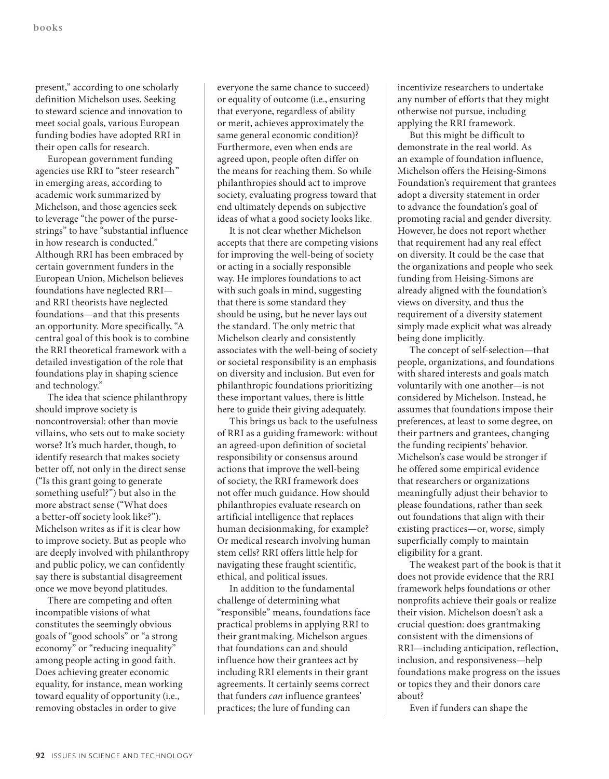present," according to one scholarly definition Michelson uses. Seeking to steward science and innovation to meet social goals, various European funding bodies have adopted RRI in their open calls for research.

European government funding agencies use RRI to "steer research" in emerging areas, according to academic work summarized by Michelson, and those agencies seek to leverage "the power of the pursestrings" to have "substantial influence in how research is conducted." Although RRI has been embraced by certain government funders in the European Union, Michelson believes foundations have neglected RRI and RRI theorists have neglected foundations—and that this presents an opportunity. More specifically, "A central goal of this book is to combine the RRI theoretical framework with a detailed investigation of the role that foundations play in shaping science and technology."

The idea that science philanthropy should improve society is noncontroversial: other than movie villains, who sets out to make society worse? It's much harder, though, to identify research that makes society better off, not only in the direct sense ("Is this grant going to generate something useful?") but also in the more abstract sense ("What does a better-off society look like?"). Michelson writes as if it is clear how to improve society. But as people who are deeply involved with philanthropy and public policy, we can confidently say there is substantial disagreement once we move beyond platitudes.

There are competing and often incompatible visions of what constitutes the seemingly obvious goals of "good schools" or "a strong economy" or "reducing inequality" among people acting in good faith. Does achieving greater economic equality, for instance, mean working toward equality of opportunity (i.e., removing obstacles in order to give

everyone the same chance to succeed) or equality of outcome (i.e., ensuring that everyone, regardless of ability or merit, achieves approximately the same general economic condition)? Furthermore, even when ends are agreed upon, people often differ on the means for reaching them. So while philanthropies should act to improve society, evaluating progress toward that end ultimately depends on subjective ideas of what a good society looks like.

It is not clear whether Michelson accepts that there are competing visions for improving the well-being of society or acting in a socially responsible way. He implores foundations to act with such goals in mind, suggesting that there is some standard they should be using, but he never lays out the standard. The only metric that Michelson clearly and consistently associates with the well-being of society or societal responsibility is an emphasis on diversity and inclusion. But even for philanthropic foundations prioritizing these important values, there is little here to guide their giving adequately.

This brings us back to the usefulness of RRI as a guiding framework: without an agreed-upon definition of societal responsibility or consensus around actions that improve the well-being of society, the RRI framework does not offer much guidance. How should philanthropies evaluate research on artificial intelligence that replaces human decisionmaking, for example? Or medical research involving human stem cells? RRI offers little help for navigating these fraught scientific, ethical, and political issues.

In addition to the fundamental challenge of determining what "responsible" means, foundations face practical problems in applying RRI to their grantmaking. Michelson argues that foundations can and should influence how their grantees act by including RRI elements in their grant agreements. It certainly seems correct that funders *can* influence grantees' practices; the lure of funding can

incentivize researchers to undertake any number of efforts that they might otherwise not pursue, including applying the RRI framework.

But this might be difficult to demonstrate in the real world. As an example of foundation influence, Michelson offers the Heising-Simons Foundation's requirement that grantees adopt a diversity statement in order to advance the foundation's goal of promoting racial and gender diversity. However, he does not report whether that requirement had any real effect on diversity. It could be the case that the organizations and people who seek funding from Heising-Simons are already aligned with the foundation's views on diversity, and thus the requirement of a diversity statement simply made explicit what was already being done implicitly.

The concept of self-selection—that people, organizations, and foundations with shared interests and goals match voluntarily with one another—is not considered by Michelson. Instead, he assumes that foundations impose their preferences, at least to some degree, on their partners and grantees, changing the funding recipients' behavior. Michelson's case would be stronger if he offered some empirical evidence that researchers or organizations meaningfully adjust their behavior to please foundations, rather than seek out foundations that align with their existing practices—or, worse, simply superficially comply to maintain eligibility for a grant.

The weakest part of the book is that it does not provide evidence that the RRI framework helps foundations or other nonprofits achieve their goals or realize their vision. Michelson doesn't ask a crucial question: does grantmaking consistent with the dimensions of RRI—including anticipation, reflection, inclusion, and responsiveness—help foundations make progress on the issues or topics they and their donors care about?

Even if funders can shape the